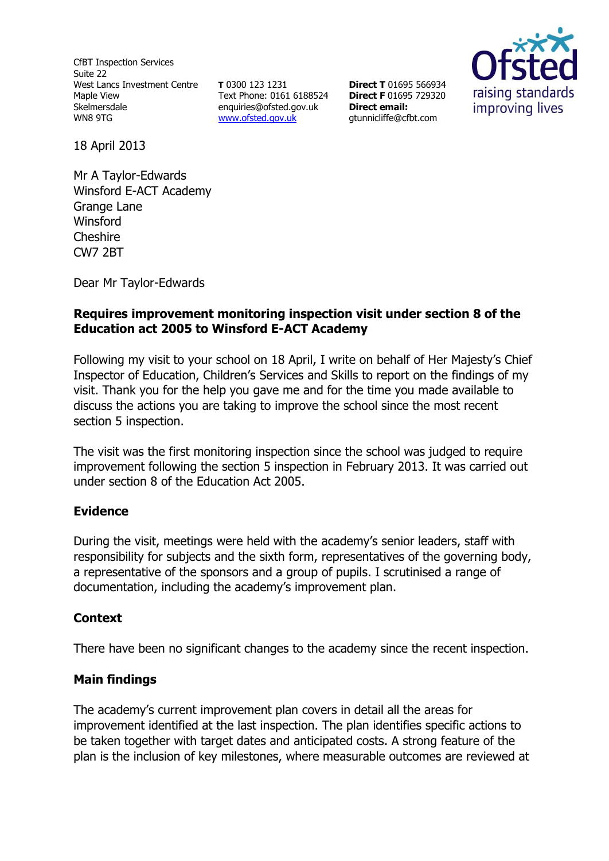CfBT Inspection Services Suite 22 West Lancs Investment Centre Maple View Skelmersdale WN8 9TG

**T** 0300 123 1231 Text Phone: 0161 6188524 enquiries@ofsted.gov.uk [www.ofsted.gov.uk](http://www.ofsted.gov.uk/)

**Direct T** 01695 566934 **Direct F** 01695 729320 **Direct email:**  gtunnicliffe@cfbt.com



18 April 2013

Mr A Taylor-Edwards Winsford E-ACT Academy Grange Lane **Winsford Cheshire** CW7 2BT

Dear Mr Taylor-Edwards

## **Requires improvement monitoring inspection visit under section 8 of the Education act 2005 to Winsford E-ACT Academy**

Following my visit to your school on 18 April, I write on behalf of Her Majesty's Chief Inspector of Education, Children's Services and Skills to report on the findings of my visit. Thank you for the help you gave me and for the time you made available to discuss the actions you are taking to improve the school since the most recent section 5 inspection.

The visit was the first monitoring inspection since the school was judged to require improvement following the section 5 inspection in February 2013. It was carried out under section 8 of the Education Act 2005.

### **Evidence**

During the visit, meetings were held with the academy's senior leaders, staff with responsibility for subjects and the sixth form, representatives of the governing body, a representative of the sponsors and a group of pupils. I scrutinised a range of documentation, including the academy's improvement plan.

### **Context**

There have been no significant changes to the academy since the recent inspection.

# **Main findings**

The academy's current improvement plan covers in detail all the areas for improvement identified at the last inspection. The plan identifies specific actions to be taken together with target dates and anticipated costs. A strong feature of the plan is the inclusion of key milestones, where measurable outcomes are reviewed at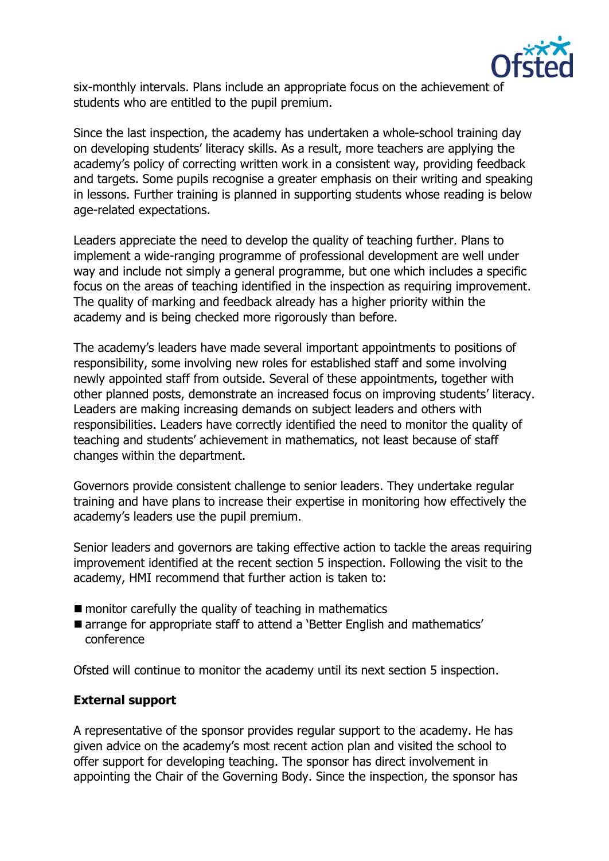

six-monthly intervals. Plans include an appropriate focus on the achievement of students who are entitled to the pupil premium.

Since the last inspection, the academy has undertaken a whole-school training day on developing students' literacy skills. As a result, more teachers are applying the academy's policy of correcting written work in a consistent way, providing feedback and targets. Some pupils recognise a greater emphasis on their writing and speaking in lessons. Further training is planned in supporting students whose reading is below age-related expectations.

Leaders appreciate the need to develop the quality of teaching further. Plans to implement a wide-ranging programme of professional development are well under way and include not simply a general programme, but one which includes a specific focus on the areas of teaching identified in the inspection as requiring improvement. The quality of marking and feedback already has a higher priority within the academy and is being checked more rigorously than before.

The academy's leaders have made several important appointments to positions of responsibility, some involving new roles for established staff and some involving newly appointed staff from outside. Several of these appointments, together with other planned posts, demonstrate an increased focus on improving students' literacy. Leaders are making increasing demands on subject leaders and others with responsibilities. Leaders have correctly identified the need to monitor the quality of teaching and students' achievement in mathematics, not least because of staff changes within the department.

Governors provide consistent challenge to senior leaders. They undertake regular training and have plans to increase their expertise in monitoring how effectively the academy's leaders use the pupil premium.

Senior leaders and governors are taking effective action to tackle the areas requiring improvement identified at the recent section 5 inspection. Following the visit to the academy, HMI recommend that further action is taken to:

- $\blacksquare$  monitor carefully the quality of teaching in mathematics
- arrange for appropriate staff to attend a 'Better English and mathematics' conference

Ofsted will continue to monitor the academy until its next section 5 inspection.

### **External support**

A representative of the sponsor provides regular support to the academy. He has given advice on the academy's most recent action plan and visited the school to offer support for developing teaching. The sponsor has direct involvement in appointing the Chair of the Governing Body. Since the inspection, the sponsor has